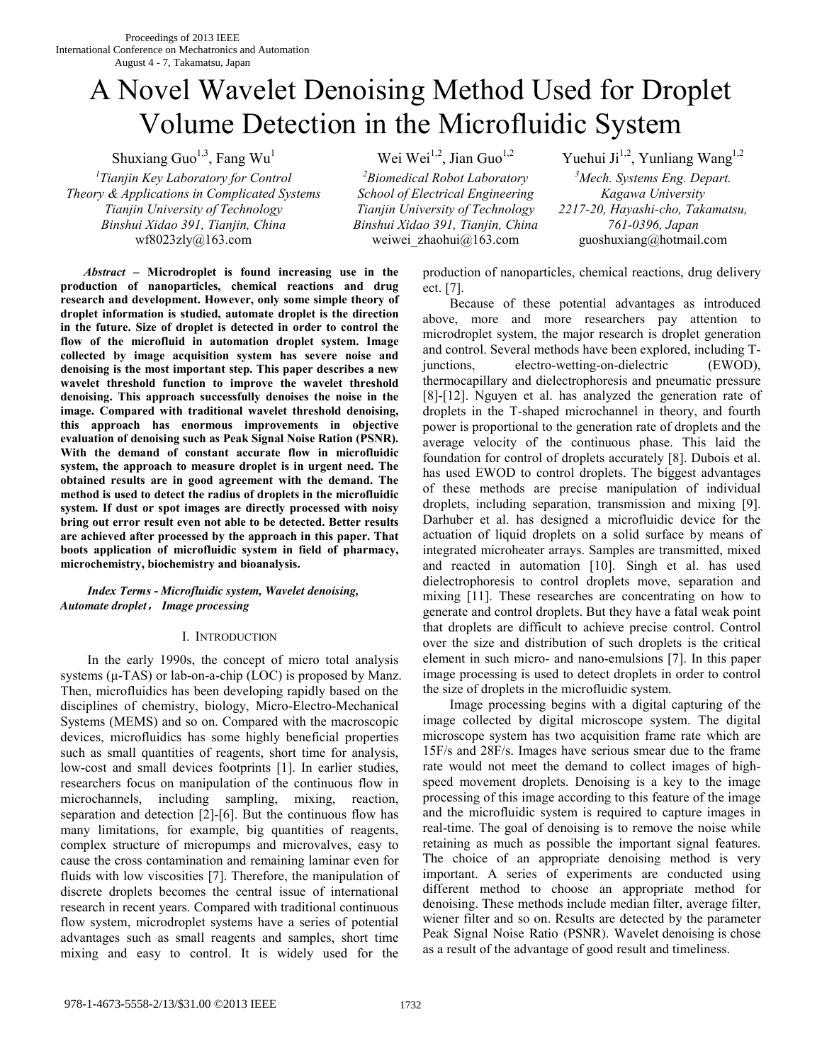# A Novel Wavelet Denoising Method Used for Droplet Volume Detection in the Microfluidic System

Shuxiang Guo<sup>1,3</sup>, Fang Wu<sup>1</sup>

*1 Tianjin Key Laboratory for Control Theory & Applications in Complicated Systems Tianjin University of Technology Binshui Xidao 391, Tianjin, China*  wf8023zly@163.com weiwei\_zhaohui@163.com guoshuxiang@hotmail.com

Wei Wei<sup>1,2</sup>, Jian Guo<sup>1,2</sup> Yuehui Ji<sup>1,2</sup>, Yunliang Wang<sup>1,2</sup>

*2 Biomedical Robot Laboratory School of Electrical Engineering Tianjin University of Technology Binshui Xidao 391, Tianjin, China*

*3 Mech. Systems Eng. Depart. Kagawa University 2217-20, Hayashi-cho, Takamatsu, 761-0396, Japan* 

*Abstract* **– Microdroplet is found increasing use in the production of nanoparticles, chemical reactions and drug research and development. However, only some simple theory of droplet information is studied, automate droplet is the direction in the future. Size of droplet is detected in order to control the flow of the microfluid in automation droplet system. Image collected by image acquisition system has severe noise and denoising is the most important step. This paper describes a new wavelet threshold function to improve the wavelet threshold denoising. This approach successfully denoises the noise in the image. Compared with traditional wavelet threshold denoising, this approach has enormous improvements in objective evaluation of denoising such as Peak Signal Noise Ration (PSNR). With the demand of constant accurate flow in microfluidic system, the approach to measure droplet is in urgent need. The obtained results are in good agreement with the demand. The method is used to detect the radius of droplets in the microfluidic system. If dust or spot images are directly processed with noisy bring out error result even not able to be detected. Better results are achieved after processed by the approach in this paper. That boots application of microfluidic system in field of pharmacy, microchemistry, biochemistry and bioanalysis.** 

# *Index Terms* **-** *Microfluidic system, Wavelet denoising, Automate droplet*, *Image processing*

# I. INTRODUCTION

 In the early 1990s, the concept of micro total analysis systems  $(\mu$ -TAS) or lab-on-a-chip (LOC) is proposed by Manz. Then, microfluidics has been developing rapidly based on the disciplines of chemistry, biology, Micro-Electro-Mechanical Systems (MEMS) and so on. Compared with the macroscopic devices, microfluidics has some highly beneficial properties such as small quantities of reagents, short time for analysis, low-cost and small devices footprints [1]. In earlier studies, researchers focus on manipulation of the continuous flow in microchannels, including sampling, mixing, reaction, separation and detection [2]-[6]. But the continuous flow has many limitations, for example, big quantities of reagents, complex structure of micropumps and microvalves, easy to cause the cross contamination and remaining laminar even for fluids with low viscosities [7]. Therefore, the manipulation of discrete droplets becomes the central issue of international research in recent years. Compared with traditional continuous flow system, microdroplet systems have a series of potential advantages such as small reagents and samples, short time mixing and easy to control. It is widely used for the

production of nanoparticles, chemical reactions, drug delivery ect. [7].

 Because of these potential advantages as introduced above, more and more researchers pay attention to microdroplet system, the major research is droplet generation and control. Several methods have been explored, including Tjunctions, electro-wetting-on-dielectric (EWOD), thermocapillary and dielectrophoresis and pneumatic pressure [8]-[12]. Nguyen et al. has analyzed the generation rate of droplets in the T-shaped microchannel in theory, and fourth power is proportional to the generation rate of droplets and the average velocity of the continuous phase. This laid the foundation for control of droplets accurately [8]. Dubois et al. has used EWOD to control droplets. The biggest advantages of these methods are precise manipulation of individual droplets, including separation, transmission and mixing [9]. Darhuber et al. has designed a microfluidic device for the actuation of liquid droplets on a solid surface by means of integrated microheater arrays. Samples are transmitted, mixed and reacted in automation [10]. Singh et al. has used dielectrophoresis to control droplets move, separation and mixing [11]. These researches are concentrating on how to generate and control droplets. But they have a fatal weak point that droplets are difficult to achieve precise control. Control over the size and distribution of such droplets is the critical element in such micro- and nano-emulsions [7]. In this paper image processing is used to detect droplets in order to control the size of droplets in the microfluidic system.

 Image processing begins with a digital capturing of the image collected by digital microscope system. The digital microscope system has two acquisition frame rate which are 15F/s and 28F/s. Images have serious smear due to the frame rate would not meet the demand to collect images of highspeed movement droplets. Denoising is a key to the image processing of this image according to this feature of the image and the microfluidic system is required to capture images in real-time. The goal of denoising is to remove the noise while retaining as much as possible the important signal features. The choice of an appropriate denoising method is very important. A series of experiments are conducted using different method to choose an appropriate method for denoising. These methods include median filter, average filter, wiener filter and so on. Results are detected by the parameter Peak Signal Noise Ratio (PSNR). Wavelet denoising is chose as a result of the advantage of good result and timeliness.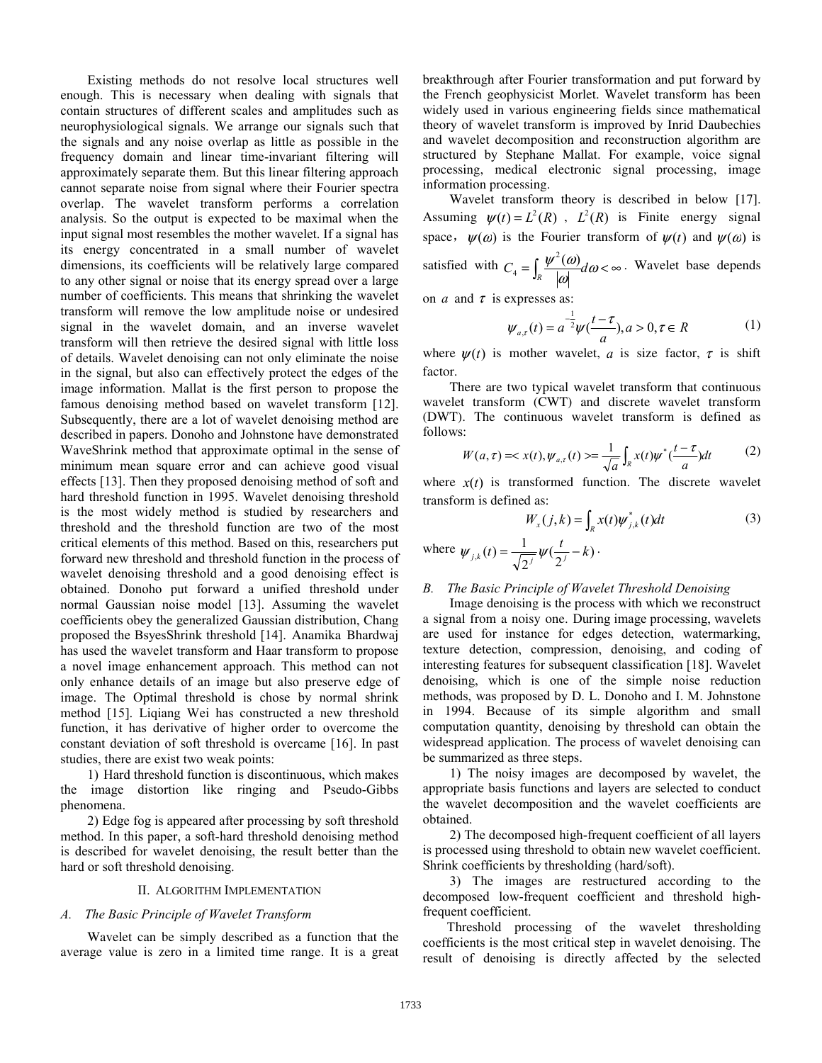Existing methods do not resolve local structures well enough. This is necessary when dealing with signals that contain structures of different scales and amplitudes such as neurophysiological signals. We arrange our signals such that the signals and any noise overlap as little as possible in the frequency domain and linear time-invariant filtering will approximately separate them. But this linear filtering approach cannot separate noise from signal where their Fourier spectra overlap. The wavelet transform performs a correlation analysis. So the output is expected to be maximal when the input signal most resembles the mother wavelet. If a signal has its energy concentrated in a small number of wavelet dimensions, its coefficients will be relatively large compared to any other signal or noise that its energy spread over a large number of coefficients. This means that shrinking the wavelet transform will remove the low amplitude noise or undesired signal in the wavelet domain, and an inverse wavelet transform will then retrieve the desired signal with little loss of details. Wavelet denoising can not only eliminate the noise in the signal, but also can effectively protect the edges of the image information. Mallat is the first person to propose the famous denoising method based on wavelet transform [12]. Subsequently, there are a lot of wavelet denoising method are described in papers. Donoho and Johnstone have demonstrated WaveShrink method that approximate optimal in the sense of minimum mean square error and can achieve good visual effects [13]. Then they proposed denoising method of soft and hard threshold function in 1995. Wavelet denoising threshold is the most widely method is studied by researchers and threshold and the threshold function are two of the most critical elements of this method. Based on this, researchers put forward new threshold and threshold function in the process of wavelet denoising threshold and a good denoising effect is obtained. Donoho put forward a unified threshold under normal Gaussian noise model [13]. Assuming the wavelet coefficients obey the generalized Gaussian distribution, Chang proposed the BsyesShrink threshold [14]. Anamika Bhardwaj has used the wavelet transform and Haar transform to propose a novel image enhancement approach. This method can not only enhance details of an image but also preserve edge of image. The Optimal threshold is chose by normal shrink method [15]. Liqiang Wei has constructed a new threshold function, it has derivative of higher order to overcome the constant deviation of soft threshold is overcame [16]. In past studies, there are exist two weak points:

1) Hard threshold function is discontinuous, which makes the image distortion like ringing and Pseudo-Gibbs phenomena.

2) Edge fog is appeared after processing by soft threshold method. In this paper, a soft-hard threshold denoising method is described for wavelet denoising, the result better than the hard or soft threshold denoising.

#### II. ALGORITHM IMPLEMENTATION

### *A. The Basic Principle of Wavelet Transform*

 Wavelet can be simply described as a function that the average value is zero in a limited time range. It is a great breakthrough after Fourier transformation and put forward by the French geophysicist Morlet. Wavelet transform has been widely used in various engineering fields since mathematical theory of wavelet transform is improved by Inrid Daubechies and wavelet decomposition and reconstruction algorithm are structured by Stephane Mallat. For example, voice signal processing, medical electronic signal processing, image information processing.

 Wavelet transform theory is described in below [17]. Assuming  $\psi(t) = L^2(R)$ ,  $L^2(R)$  is Finite energy signal space,  $\psi(\omega)$  is the Fourier transform of  $\psi(t)$  and  $\psi(\omega)$  is satisfied with  $C_4 = \int_R \frac{\psi^2(\omega)}{|\omega|} d\omega < \infty$ . Wavelet base depends

on  $\alpha$  and  $\tau$  is expresses as:

$$
\psi_{a,\tau}(t) = a^{-\frac{1}{2}} \psi(\frac{t-\tau}{a}), a > 0, \tau \in R
$$
 (1)

where  $\psi(t)$  is mother wavelet, *a* is size factor, *τ* is shift factor.

 There are two typical wavelet transform that continuous wavelet transform (CWT) and discrete wavelet transform (DWT). The continuous wavelet transform is defined as follows:

$$
W(a,\tau) = \langle x(t), \psi_{a,\tau}(t) \rangle = \frac{1}{\sqrt{a}} \int_{R} x(t) \psi^* \left(\frac{t-\tau}{a}\right) dt \tag{2}
$$

where  $x(t)$  is transformed function. The discrete wavelet transform is defined as:

$$
W_x(j,k) = \int_R x(t)\psi_{j,k}^*(t)dt
$$
 (3)

where  $\psi_{j,k}(t) = \frac{1}{\sqrt{2^j}} \psi(\frac{t}{2^j} - k)$ 2  $\psi_{j,k}(t) = \frac{1}{\sqrt{2^{j}}} \psi(\frac{t}{2^{j}} - k)$ .

#### *B. The Basic Principle of Wavelet Threshold Denoising*

 Image denoising is the process with which we reconstruct a signal from a noisy one. During image processing, wavelets are used for instance for edges detection, watermarking, texture detection, compression, denoising, and coding of interesting features for subsequent classification [18]. Wavelet denoising, which is one of the simple noise reduction methods, was proposed by D. L. Donoho and I. M. Johnstone in 1994. Because of its simple algorithm and small computation quantity, denoising by threshold can obtain the widespread application. The process of wavelet denoising can be summarized as three steps.

1) The noisy images are decomposed by wavelet, the appropriate basis functions and layers are selected to conduct the wavelet decomposition and the wavelet coefficients are obtained.

2) The decomposed high-frequent coefficient of all layers is processed using threshold to obtain new wavelet coefficient. Shrink coefficients by thresholding (hard/soft).

3) The images are restructured according to the decomposed low-frequent coefficient and threshold highfrequent coefficient.

 Threshold processing of the wavelet thresholding coefficients is the most critical step in wavelet denoising. The result of denoising is directly affected by the selected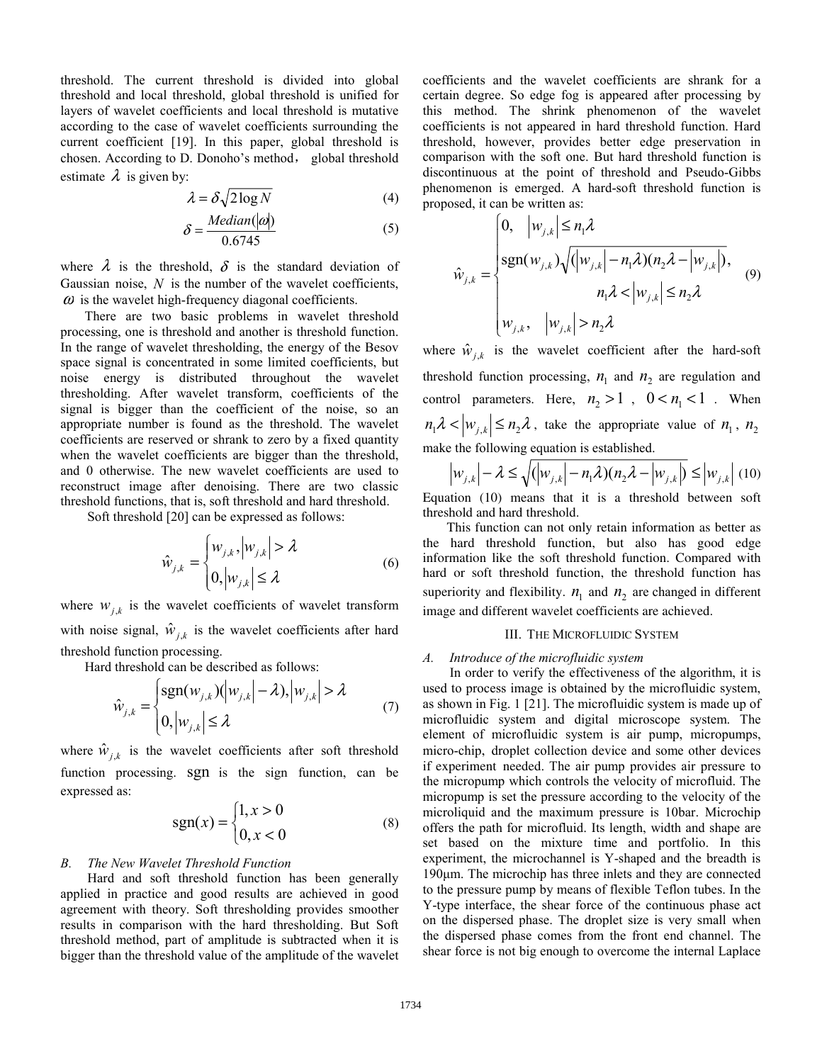threshold. The current threshold is divided into global threshold and local threshold, global threshold is unified for layers of wavelet coefficients and local threshold is mutative according to the case of wavelet coefficients surrounding the current coefficient [19]. In this paper, global threshold is chosen. According to D. Donoho's method, global threshold estimate  $\lambda$  is given by:

$$
\lambda = \delta \sqrt{2 \log N} \tag{4}
$$

$$
\delta = \frac{Median(|\omega|)}{0.6745} \tag{5}
$$

where  $\lambda$  is the threshold,  $\delta$  is the standard deviation of Gaussian noise,  $N$  is the number of the wavelet coefficients,  $\omega$  is the wavelet high-frequency diagonal coefficients.

 There are two basic problems in wavelet threshold processing, one is threshold and another is threshold function. In the range of wavelet thresholding, the energy of the Besov space signal is concentrated in some limited coefficients, but noise energy is distributed throughout the wavelet thresholding. After wavelet transform, coefficients of the signal is bigger than the coefficient of the noise, so an appropriate number is found as the threshold. The wavelet coefficients are reserved or shrank to zero by a fixed quantity when the wavelet coefficients are bigger than the threshold, and 0 otherwise. The new wavelet coefficients are used to reconstruct image after denoising. There are two classic threshold functions, that is, soft threshold and hard threshold.

Soft threshold [20] can be expressed as follows:

$$
\hat{w}_{j,k} = \begin{cases} w_{j,k}, |w_{j,k}| > \lambda \\ 0, |w_{j,k}| \le \lambda \end{cases}
$$
\n(6)

where  $w_{j,k}$  is the wavelet coefficients of wavelet transform with noise signal,  $\hat{w}_{ik}$  is the wavelet coefficients after hard threshold function processing.

Hard threshold can be described as follows:

$$
\hat{w}_{j,k} = \begin{cases}\n\text{sgn}(w_{j,k})(|w_{j,k}| - \lambda), |w_{j,k}| > \lambda \\
0, |w_{j,k}| \le \lambda\n\end{cases}
$$
\n(7)

where  $\hat{w}_{i,k}$  is the wavelet coefficients after soft threshold function processing. sgn is the sign function, can be expressed as:

$$
sgn(x) = \begin{cases} 1, x > 0 \\ 0, x < 0 \end{cases}
$$
 (8)

# *B. The New Wavelet Threshold Function*

 Hard and soft threshold function has been generally applied in practice and good results are achieved in good agreement with theory. Soft thresholding provides smoother results in comparison with the hard thresholding. But Soft threshold method, part of amplitude is subtracted when it is bigger than the threshold value of the amplitude of the wavelet coefficients and the wavelet coefficients are shrank for a certain degree. So edge fog is appeared after processing by this method. The shrink phenomenon of the wavelet coefficients is not appeared in hard threshold function. Hard threshold, however, provides better edge preservation in comparison with the soft one. But hard threshold function is discontinuous at the point of threshold and Pseudo-Gibbs phenomenon is emerged. A hard-soft threshold function is proposed, it can be written as:

$$
\hat{w}_{j,k} = \begin{cases}\n0, & |w_{j,k}| \le n_1 \lambda \\
\operatorname{sgn}(w_{j,k}) \sqrt{(|w_{j,k}| - n_1 \lambda)(n_2 \lambda - |w_{j,k}|)}, \\
n_1 \lambda < |w_{j,k}| \le n_2 \lambda \\
w_{j,k}, & |w_{j,k}| > n_2 \lambda\n\end{cases} \tag{9}
$$

where  $\hat{w}_{i,k}$  is the wavelet coefficient after the hard-soft threshold function processing,  $n_1$  and  $n_2$  are regulation and control parameters. Here,  $n_2 > 1$ ,  $0 < n_1 < 1$ . When  $n_1 \lambda < |w_{j,k}| \leq n_2 \lambda$ , take the appropriate value of  $n_1$ ,  $n_2$ make the following equation is established.

$$
\left|w_{j,k}\right| - \lambda \le \sqrt{\left(|w_{j,k}| - n_1 \lambda\right)\left(n_2 \lambda - \left|w_{j,k}\right|\right)} \le \left|w_{j,k}\right| \tag{10}
$$

Equation (10) means that it is a threshold between soft threshold and hard threshold.

This function can not only retain information as better as the hard threshold function, but also has good edge information like the soft threshold function. Compared with hard or soft threshold function, the threshold function has superiority and flexibility.  $n_1$  and  $n_2$  are changed in different image and different wavelet coefficients are achieved.

### III. THE MICROFLUIDIC SYSTEM

#### *A. Introduce of the microfluidic system*

In order to verify the effectiveness of the algorithm, it is used to process image is obtained by the microfluidic system, as shown in Fig. 1 [21]. The microfluidic system is made up of microfluidic system and digital microscope system. The element of microfluidic system is air pump, micropumps, micro-chip, droplet collection device and some other devices if experiment needed. The air pump provides air pressure to the micropump which controls the velocity of microfluid. The micropump is set the pressure according to the velocity of the microliquid and the maximum pressure is 10bar. Microchip offers the path for microfluid. Its length, width and shape are set based on the mixture time and portfolio. In this experiment, the microchannel is Y-shaped and the breadth is 190μm. The microchip has three inlets and they are connected to the pressure pump by means of flexible Teflon tubes. In the Y-type interface, the shear force of the continuous phase act on the dispersed phase. The droplet size is very small when the dispersed phase comes from the front end channel. The shear force is not big enough to overcome the internal Laplace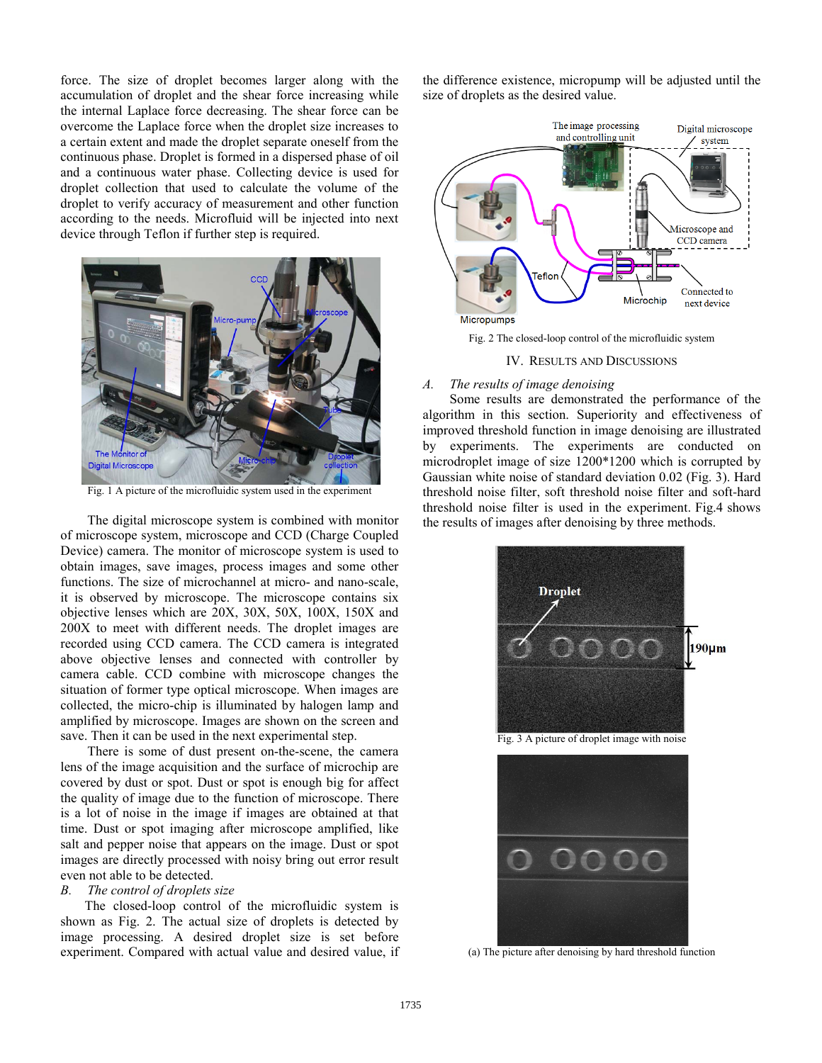force. The size of droplet becomes larger along with the accumulation of droplet and the shear force increasing while the internal Laplace force decreasing. The shear force can be overcome the Laplace force when the droplet size increases to a certain extent and made the droplet separate oneself from the continuous phase. Droplet is formed in a dispersed phase of oil and a continuous water phase. Collecting device is used for droplet collection that used to calculate the volume of the droplet to verify accuracy of measurement and other function according to the needs. Microfluid will be injected into next device through Teflon if further step is required.



Fig. 1 A picture of the microfluidic system used in the experiment

 The digital microscope system is combined with monitor of microscope system, microscope and CCD (Charge Coupled Device) camera. The monitor of microscope system is used to obtain images, save images, process images and some other functions. The size of microchannel at micro- and nano-scale, it is observed by microscope. The microscope contains six objective lenses which are 20X, 30X, 50X, 100X, 150X and 200X to meet with different needs. The droplet images are recorded using CCD camera. The CCD camera is integrated above objective lenses and connected with controller by camera cable. CCD combine with microscope changes the situation of former type optical microscope. When images are collected, the micro-chip is illuminated by halogen lamp and amplified by microscope. Images are shown on the screen and save. Then it can be used in the next experimental step.

There is some of dust present on-the-scene, the camera lens of the image acquisition and the surface of microchip are covered by dust or spot. Dust or spot is enough big for affect the quality of image due to the function of microscope. There is a lot of noise in the image if images are obtained at that time. Dust or spot imaging after microscope amplified, like salt and pepper noise that appears on the image. Dust or spot images are directly processed with noisy bring out error result even not able to be detected.

## *B. The control of droplets size*

 The closed-loop control of the microfluidic system is shown as Fig. 2. The actual size of droplets is detected by image processing. A desired droplet size is set before experiment. Compared with actual value and desired value, if the difference existence, micropump will be adjusted until the size of droplets as the desired value.



Fig. 2 The closed-loop control of the microfluidic system

IV. RESULTS AND DISCUSSIONS

# *A. The results of image denoising*

 Some results are demonstrated the performance of the algorithm in this section. Superiority and effectiveness of improved threshold function in image denoising are illustrated by experiments. The experiments are conducted on microdroplet image of size 1200\*1200 which is corrupted by Gaussian white noise of standard deviation 0.02 (Fig. 3). Hard threshold noise filter, soft threshold noise filter and soft-hard threshold noise filter is used in the experiment. Fig.4 shows the results of images after denoising by three methods.



Fig. 3 A picture of droplet image with noise



(a) The picture after denoising by hard threshold function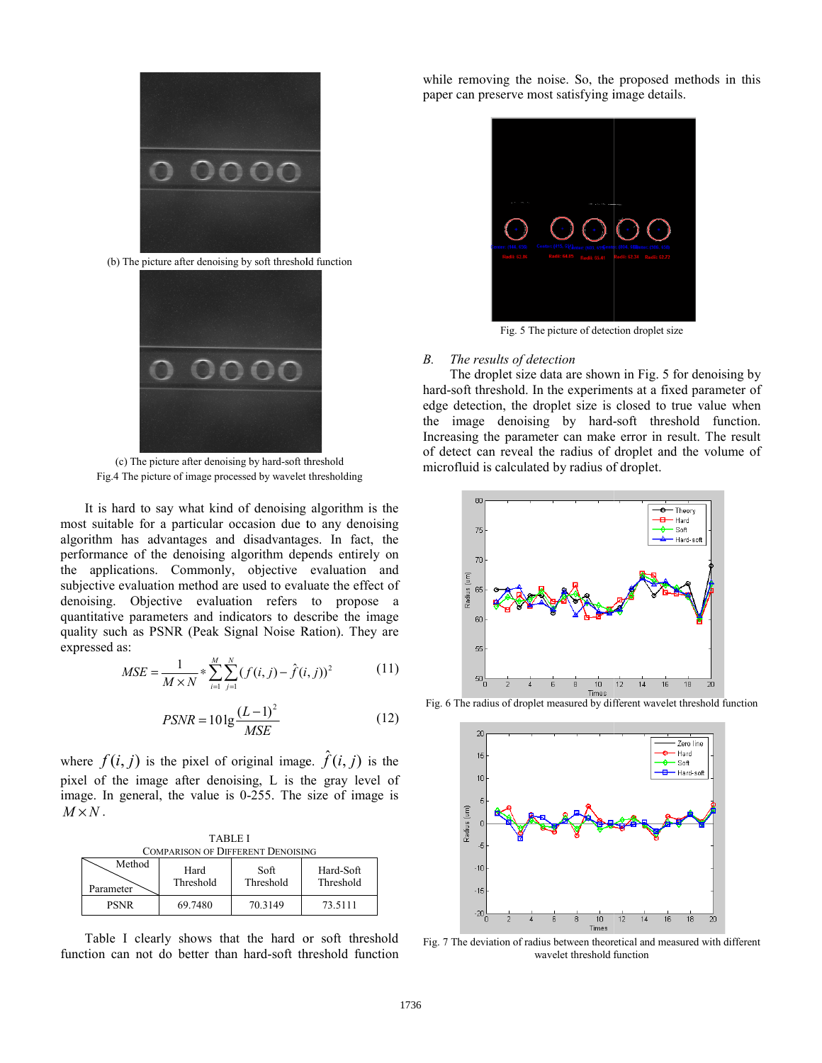



(c) The picture after denoising by hard-soft th hreshold Fig.4 The picture of image processed by wavelet thresholding

 It is hard to say what kind of denoising algorithm is the most suitable for a particular occasion due to any denoising algorithm has advantages and disadvantag ges. In fact, the performance of the denoising algorithm dep pends entirely on the applications. Commonly, objective evaluation and subjective evaluation method are used to eval uate the effect of denoising. Objective evaluation refers to propose a quantitative parameters and indicators to de scribe the image quality such as PSNR (Peak Signal Noise R Ration). They are expressed as:

$$
MSE = \frac{1}{M \times N} * \sum_{i=1}^{M} \sum_{j=1}^{N} (f(i, j) - \hat{f}(i, j))^{2}
$$
(11)

$$
PSNR = 10 \lg \frac{(L-1)^2}{MSE}
$$
 (12)

where  $f(i, j)$  is the pixel of original image.  $\hat{f}(i, j)$  is the pixel of the image after denoising, L is th he gray level of image. In general, the value is 0-255. The size of image is  $M \times N$ .

| <b>TABLE I</b>                    |
|-----------------------------------|
| COMPARISON OF DIFFERENT DENOISING |

| Method      | Hard      | Soft      | Hard-Soft |
|-------------|-----------|-----------|-----------|
| Parameter   | Threshold | Threshold | Threshold |
| <b>PSNR</b> | 69.7480   | 70.3149   | 73.5111   |

Table I clearly shows that the hard or soft threshold function can not do better than hard-soft threshold function while removing the noise. So, the proposed methods in this paper can preserve most satisfying image details.



Fig. 5 The picture of detec tion droplet size

#### *B. The results of detection*

 The droplet size data are show n in Fig. 5 for denoising by hard-soft threshold. In the experiments at a fixed parameter of edge detection, the droplet size is closed to true value when the image denoising by hard-soft threshold function. Increasing the parameter can make error in result. The result of detect can reveal the radius of droplet and the volume of microfluid is calculated by radius of f droplet.



Fig. 6 The radius of droplet measured by different wavelet threshold function



Fig. 7 The deviation of radius between theoretical and measured with different wavelet threshold f function